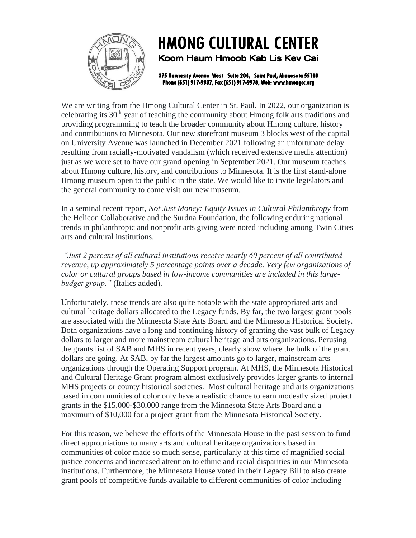

## **HMONG CULTURAL CENTER**

Koom Haum Hmoob Kab Lis Key Cai

375 University Avenue West - Suite 204, Saint Paul, Minnesota 55103 Phone (651) 917-9937, Fax (651) 917-9978, Web: www.hmongcc.org

We are writing from the Hmong Cultural Center in St. Paul. In 2022, our organization is celebrating its  $30<sup>th</sup>$  year of teaching the community about Hmong folk arts traditions and providing programming to teach the broader community about Hmong culture, history and contributions to Minnesota. Our new storefront museum 3 blocks west of the capital on University Avenue was launched in December 2021 following an unfortunate delay resulting from racially-motivated vandalism (which received extensive media attention) just as we were set to have our grand opening in September 2021. Our museum teaches about Hmong culture, history, and contributions to Minnesota. It is the first stand-alone Hmong museum open to the public in the state. We would like to invite legislators and the general community to come visit our new museum.

In a seminal recent report, *Not Just Money: Equity Issues in Cultural Philanthropy* from the Helicon Collaborative and the Surdna Foundation, the following enduring national trends in philanthropic and nonprofit arts giving were noted including among Twin Cities arts and cultural institutions.

*"Just 2 percent of all cultural institutions receive nearly 60 percent of all contributed revenue, up approximately 5 percentage points over a decade. Very few organizations of color or cultural groups based in low-income communities are included in this largebudget group."* (Italics added).

Unfortunately, these trends are also quite notable with the state appropriated arts and cultural heritage dollars allocated to the Legacy funds. By far, the two largest grant pools are associated with the Minnesota State Arts Board and the Minnesota Historical Society. Both organizations have a long and continuing history of granting the vast bulk of Legacy dollars to larger and more mainstream cultural heritage and arts organizations. Perusing the grants list of SAB and MHS in recent years, clearly show where the bulk of the grant dollars are going. At SAB, by far the largest amounts go to larger, mainstream arts organizations through the Operating Support program. At MHS, the Minnesota Historical and Cultural Heritage Grant program almost exclusively provides larger grants to internal MHS projects or county historical societies. Most cultural heritage and arts organizations based in communities of color only have a realistic chance to earn modestly sized project grants in the \$15,000-\$30,000 range from the Minnesota State Arts Board and a maximum of \$10,000 for a project grant from the Minnesota Historical Society.

For this reason, we believe the efforts of the Minnesota House in the past session to fund direct appropriations to many arts and cultural heritage organizations based in communities of color made so much sense, particularly at this time of magnified social justice concerns and increased attention to ethnic and racial disparities in our Minnesota institutions. Furthermore, the Minnesota House voted in their Legacy Bill to also create grant pools of competitive funds available to different communities of color including